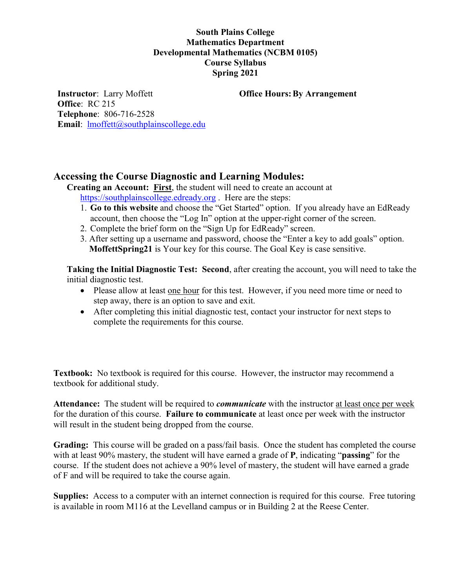## **South Plains College Mathematics Department Developmental Mathematics (NCBM 0105) Course Syllabus Spring 2021**

**Office Hours: By Arrangement** 

**Instructor**: Larry Moffett **Office**: RC 215 **Telephone**: 806-716-2528 **Email**: [lmoffett@southplainscollege.edu](mailto:lmoffett@southplainscollege.edu)

# **Accessing the Course Diagnostic and Learning Modules:**

**Creating an Account: First**, the student will need to create an account at [https://southplainscollege.edready.org](https://southplainscollege.edready.org/). Here are the steps:

- 1. **Go to this website** and choose the "Get Started" option. If you already have an EdReady account, then choose the "Log In" option at the upper-right corner of the screen.
- 2. Complete the brief form on the "Sign Up for EdReady" screen.
- 3. After setting up a username and password, choose the "Enter a key to add goals" option. **MoffettSpring21** is Your key for this course. The Goal Key is case sensitive.

**Taking the Initial Diagnostic Test: Second**, after creating the account, you will need to take the initial diagnostic test.

- Please allow at least one hour for this test. However, if you need more time or need to step away, there is an option to save and exit.
- After completing this initial diagnostic test, contact your instructor for next steps to complete the requirements for this course.

**Textbook:** No textbook is required for this course. However, the instructor may recommend a textbook for additional study.

**Attendance:** The student will be required to *communicate* with the instructor at least once per week for the duration of this course. **Failure to communicate** at least once per week with the instructor will result in the student being dropped from the course.

**Grading:** This course will be graded on a pass/fail basis. Once the student has completed the course with at least 90% mastery, the student will have earned a grade of **P**, indicating "**passing**" for the course. If the student does not achieve a 90% level of mastery, the student will have earned a grade of F and will be required to take the course again.

**Supplies:** Access to a computer with an internet connection is required for this course. Free tutoring is available in room M116 at the Levelland campus or in Building 2 at the Reese Center.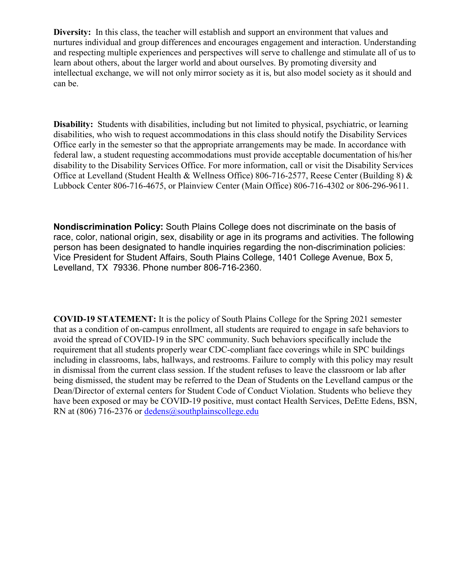**Diversity:** In this class, the teacher will establish and support an environment that values and nurtures individual and group differences and encourages engagement and interaction. Understanding and respecting multiple experiences and perspectives will serve to challenge and stimulate all of us to learn about others, about the larger world and about ourselves. By promoting diversity and intellectual exchange, we will not only mirror society as it is, but also model society as it should and can be.

**Disability:** Students with disabilities, including but not limited to physical, psychiatric, or learning disabilities, who wish to request accommodations in this class should notify the Disability Services Office early in the semester so that the appropriate arrangements may be made. In accordance with federal law, a student requesting accommodations must provide acceptable documentation of his/her disability to the Disability Services Office. For more information, call or visit the Disability Services Office at Levelland (Student Health & Wellness Office) 806-716-2577, Reese Center (Building 8) & Lubbock Center 806-716-4675, or Plainview Center (Main Office) 806-716-4302 or 806-296-9611.

**Nondiscrimination Policy:** South Plains College does not discriminate on the basis of race, color, national origin, sex, disability or age in its programs and activities. The following person has been designated to handle inquiries regarding the non-discrimination policies: Vice President for Student Affairs, South Plains College, 1401 College Avenue, Box 5, Levelland, TX 79336. Phone number 806-716-2360.

**COVID-19 STATEMENT:** It is the policy of South Plains College for the Spring 2021 semester that as a condition of on-campus enrollment, all students are required to engage in safe behaviors to avoid the spread of COVID-19 in the SPC community. Such behaviors specifically include the requirement that all students properly wear CDC-compliant face coverings while in SPC buildings including in classrooms, labs, hallways, and restrooms. Failure to comply with this policy may result in dismissal from the current class session. If the student refuses to leave the classroom or lab after being dismissed, the student may be referred to the Dean of Students on the Levelland campus or the Dean/Director of external centers for Student Code of Conduct Violation. Students who believe they have been exposed or may be COVID-19 positive, must contact Health Services, DeEtte Edens, BSN, RN at (806) 716-2376 or [dedens@southplainscollege.edu](mailto:dedens@southplainscollege.edu)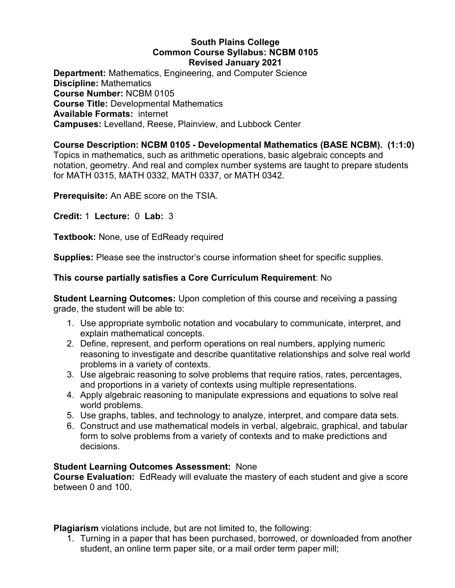## **South Plains College Common Course Syllabus: NCBM 0105 Revised January 2021**

**Department:** Mathematics, Engineering, and Computer Science **Discipline:** Mathematics **Course Number:** NCBM 0105 **Course Title:** Developmental Mathematics **Available Formats:** internet **Campuses:** Levelland, Reese, Plainview, and Lubbock Center

# **Course Description: NCBM 0105 - Developmental Mathematics (BASE NCBM). (1:1:0)**

Topics in mathematics, such as arithmetic operations, basic algebraic concepts and notation, geometry. And real and complex number systems are taught to prepare students for MATH 0315, MATH 0332, MATH 0337, or MATH 0342.

**Prerequisite:** An ABE score on the TSIA.

**Credit:** 1 **Lecture:** 0 **Lab:** 3

**Textbook:** None, use of EdReady required

**Supplies:** Please see the instructor's course information sheet for specific supplies.

#### **This course partially satisfies a Core Curriculum Requirement**: No

**Student Learning Outcomes:** Upon completion of this course and receiving a passing grade, the student will be able to:

- 1. Use appropriate symbolic notation and vocabulary to communicate, interpret, and explain mathematical concepts.
- 2. Define, represent, and perform operations on real numbers, applying numeric reasoning to investigate and describe quantitative relationships and solve real world problems in a variety of contexts.
- 3. Use algebraic reasoning to solve problems that require ratios, rates, percentages, and proportions in a variety of contexts using multiple representations.
- 4. Apply algebraic reasoning to manipulate expressions and equations to solve real world problems.
- 5. Use graphs, tables, and technology to analyze, interpret, and compare data sets.
- 6. Construct and use mathematical models in verbal, algebraic, graphical, and tabular form to solve problems from a variety of contexts and to make predictions and decisions.

#### **Student Learning Outcomes Assessment:** None

**Course Evaluation:** EdReady will evaluate the mastery of each student and give a score between 0 and 100.

**Plagiarism** violations include, but are not limited to, the following:

1. Turning in a paper that has been purchased, borrowed, or downloaded from another student, an online term paper site, or a mail order term paper mill;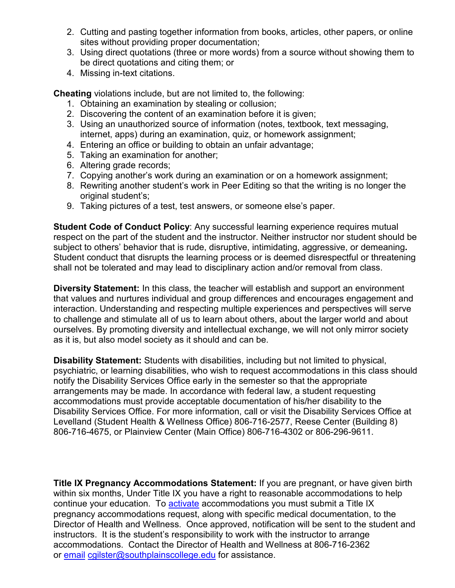- 2. Cutting and pasting together information from books, articles, other papers, or online sites without providing proper documentation;
- 3. Using direct quotations (three or more words) from a source without showing them to be direct quotations and citing them; or
- 4. Missing in-text citations.

**Cheating** violations include, but are not limited to, the following:

- 1. Obtaining an examination by stealing or collusion;
- 2. Discovering the content of an examination before it is given;
- 3. Using an unauthorized source of information (notes, textbook, text messaging, internet, apps) during an examination, quiz, or homework assignment;
- 4. Entering an office or building to obtain an unfair advantage;
- 5. Taking an examination for another;
- 6. Altering grade records;
- 7. Copying another's work during an examination or on a homework assignment;
- 8. Rewriting another student's work in Peer Editing so that the writing is no longer the original student's;
- 9. Taking pictures of a test, test answers, or someone else's paper.

**Student Code of Conduct Policy:** Any successful learning experience requires mutual respect on the part of the student and the instructor. Neither instructor nor student should be subject to others' behavior that is rude, disruptive, intimidating, aggressive, or demeaning**.**  Student conduct that disrupts the learning process or is deemed disrespectful or threatening shall not be tolerated and may lead to disciplinary action and/or removal from class.

**Diversity Statement:** In this class, the teacher will establish and support an environment that values and nurtures individual and group differences and encourages engagement and interaction. Understanding and respecting multiple experiences and perspectives will serve to challenge and stimulate all of us to learn about others, about the larger world and about ourselves. By promoting diversity and intellectual exchange, we will not only mirror society as it is, but also model society as it should and can be.

**Disability Statement:** Students with disabilities, including but not limited to physical, psychiatric, or learning disabilities, who wish to request accommodations in this class should notify the Disability Services Office early in the semester so that the appropriate arrangements may be made. In accordance with federal law, a student requesting accommodations must provide acceptable documentation of his/her disability to the Disability Services Office. For more information, call or visit the Disability Services Office at Levelland (Student Health & Wellness Office) 806-716-2577, Reese Center (Building 8) 806-716-4675, or Plainview Center (Main Office) 806-716-4302 or 806-296-9611.

**Title IX Pregnancy Accommodations Statement:** If you are pregnant, or have given birth within six months, Under Title IX you have a right to reasonable accommodations to help continue your education. To [activate](http://www.southplainscollege.edu/employees/manualshandbooks/facultyhandbook/sec4.php) accommodations you must submit a Title IX pregnancy accommodations request, along with specific medical documentation, to the Director of Health and Wellness. Once approved, notification will be sent to the student and instructors. It is the student's responsibility to work with the instructor to arrange accommodations. Contact the Director of Health and Wellness at 806-716-2362 or [email](http://www.southplainscollege.edu/employees/manualshandbooks/facultyhandbook/sec4.php) [cgilster@southplainscollege.edu](mailto:cgilster@southplainscollege.edu) for assistance.